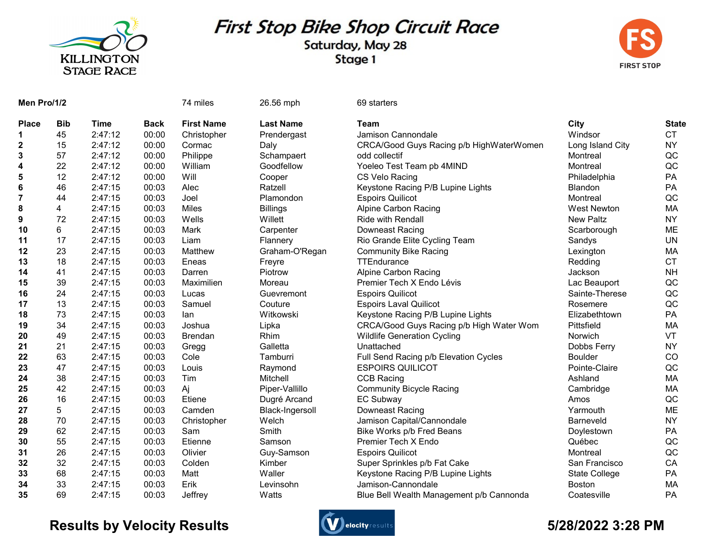

## First Stop Bike Shop Circuit Race

Saturday, May 28 Stage 1



| Men Pro/1/2    |            |         |             | 74 miles          | 26.56 mph        | 69 starters                              |                      |              |
|----------------|------------|---------|-------------|-------------------|------------------|------------------------------------------|----------------------|--------------|
| <b>Place</b>   | <b>Bib</b> | Time    | <b>Back</b> | <b>First Name</b> | <b>Last Name</b> | <b>Team</b>                              | City                 | <b>State</b> |
| 1              | 45         | 2:47:12 | 00:00       | Christopher       | Prendergast      | Jamison Cannondale                       | Windsor              | <b>CT</b>    |
| 2              | 15         | 2:47:12 | 00:00       | Cormac            | Daly             | CRCA/Good Guys Racing p/b HighWaterWomen | Long Island City     | <b>NY</b>    |
| 3              | 57         | 2:47:12 | 00:00       | Philippe          | Schampaert       | odd collectif                            | Montreal             | QC           |
| 4              | 22         | 2:47:12 | 00:00       | William           | Goodfellow       | Yoeleo Test Team pb 4MIND                | Montreal             | QC           |
| 5              | 12         | 2:47:12 | 00:00       | Will              | Cooper           | CS Velo Racing                           | Philadelphia         | PA           |
| 6              | 46         | 2:47:15 | 00:03       | Alec              | Ratzell          | Keystone Racing P/B Lupine Lights        | <b>Blandon</b>       | PA           |
| $\overline{7}$ | 44         | 2:47:15 | 00:03       | Joel              | Plamondon        | <b>Espoirs Quilicot</b>                  | Montreal             | QC           |
| 8              | 4          | 2:47:15 | 00:03       | Miles             | <b>Billings</b>  | <b>Alpine Carbon Racing</b>              | <b>West Newton</b>   | MA           |
| 9              | 72         | 2:47:15 | 00:03       | Wells             | Willett          | <b>Ride with Rendall</b>                 | <b>New Paltz</b>     | <b>NY</b>    |
| 10             | 6          | 2:47:15 | 00:03       | Mark              | Carpenter        | Downeast Racing                          | Scarborough          | ME           |
| 11             | 17         | 2:47:15 | 00:03       | Liam              | Flannery         | Rio Grande Elite Cycling Team            | Sandys               | <b>UN</b>    |
| 12             | 23         | 2:47:15 | 00:03       | Matthew           | Graham-O'Regan   | <b>Community Bike Racing</b>             | Lexington            | MA           |
| 13             | 18         | 2:47:15 | 00:03       | Eneas             | Freyre           | TTEndurance                              | Redding              | <b>CT</b>    |
| 14             | 41         | 2:47:15 | 00:03       | Darren            | Piotrow          | Alpine Carbon Racing                     | Jackson              | <b>NH</b>    |
| 15             | 39         | 2:47:15 | 00:03       | Maximilien        | Moreau           | Premier Tech X Endo Lévis                | Lac Beauport         | QC           |
| 16             | 24         | 2:47:15 | 00:03       | Lucas             | Guevremont       | <b>Espoirs Quilicot</b>                  | Sainte-Therese       | QC           |
| 17             | 13         | 2:47:15 | 00:03       | Samuel            | Couture          | <b>Espoirs Laval Quilicot</b>            | Rosemere             | QC           |
| 18             | 73         | 2:47:15 | 00:03       | lan               | Witkowski        | Keystone Racing P/B Lupine Lights        | Elizabethtown        | <b>PA</b>    |
| 19             | 34         | 2:47:15 | 00:03       | Joshua            | Lipka            | CRCA/Good Guys Racing p/b High Water Wom | Pittsfield           | MA           |
| 20             | 49         | 2:47:15 | 00:03       | <b>Brendan</b>    | Rhim             | <b>Wildlife Generation Cycling</b>       | Norwich              | VT           |
| 21             | 21         | 2:47:15 | 00:03       | Gregg             | Galletta         | Unattached                               | Dobbs Ferry          | <b>NY</b>    |
| 22             | 63         | 2:47:15 | 00:03       | Cole              | Tamburri         | Full Send Racing p/b Elevation Cycles    | <b>Boulder</b>       | CO           |
| 23             | 47         | 2:47:15 | 00:03       | Louis             | Raymond          | <b>ESPOIRS QUILICOT</b>                  | Pointe-Claire        | QC           |
| 24             | 38         | 2:47:15 | 00:03       | Tim               | Mitchell         | <b>CCB Racing</b>                        | Ashland              | MA           |
| 25             | 42         | 2:47:15 | 00:03       | Aj                | Piper-Vallillo   | <b>Community Bicycle Racing</b>          | Cambridge            | MA           |
| 26             | 16         | 2:47:15 | 00:03       | Etiene            | Dugré Arcand     | <b>EC Subway</b>                         | Amos                 | QC           |
| 27             | 5          | 2:47:15 | 00:03       | Camden            | Black-Ingersoll  | Downeast Racing                          | Yarmouth             | ME           |
| 28             | 70         | 2:47:15 | 00:03       | Christopher       | Welch            | Jamison Capital/Cannondale               | Barneveld            | <b>NY</b>    |
| 29             | 62         | 2:47:15 | 00:03       | Sam               | Smith            | Bike Works p/b Fred Beans                | Doylestown           | PA           |
| 30             | 55         | 2:47:15 | 00:03       | Etienne           | Samson           | Premier Tech X Endo                      | Québec               | QC           |
| 31             | 26         | 2:47:15 | 00:03       | Olivier           | Guy-Samson       | <b>Espoirs Quilicot</b>                  | Montreal             | QC           |
| 32             | 32         | 2:47:15 | 00:03       | Colden            | Kimber           | Super Sprinkles p/b Fat Cake             | San Francisco        | CA           |
| 33             | 68         | 2:47:15 | 00:03       | Matt              | Waller           | Keystone Racing P/B Lupine Lights        | <b>State College</b> | PA           |
| 34             | 33         | 2:47:15 | 00:03       | Erik              | Levinsohn        | Jamison-Cannondale                       | <b>Boston</b>        | MA           |
| 35             | 69         | 2:47:15 | 00:03       | Jeffrey           | Watts            | Blue Bell Wealth Management p/b Cannonda | Coatesville          | PA           |

## Results by Velocity Results **Controllers** and the section of the section of the State of the State of State of S